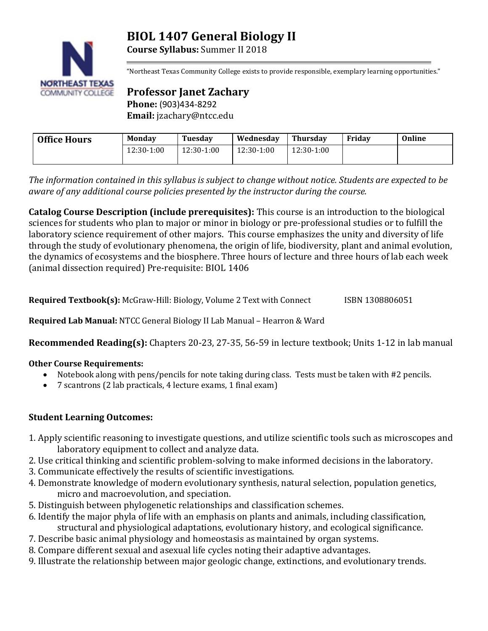# **BIOL 1407 General Biology II**



**COMMUNITY COLLEGE** 

**Course Syllabus:** Summer II 2018

"Northeast Texas Community College exists to provide responsible, exemplary learning opportunities."

**Professor Janet Zachary Phone:** (903)434-8292 **Email:** jzachary@ntcc.edu

| <b>Office Hours</b> | Monday       | Tuesdav    | Wednesday  | Thursdav     | Fridav | Online |
|---------------------|--------------|------------|------------|--------------|--------|--------|
|                     | $12:30-1:00$ | 12:30-1:00 | 12:30-1:00 | $12:30-1:00$ |        |        |

*The information contained in this syllabus is subject to change without notice. Students are expected to be aware of any additional course policies presented by the instructor during the course.*

**Catalog Course Description (include prerequisites):** This course is an introduction to the biological sciences for students who plan to major or minor in biology or pre-professional studies or to fulfill the laboratory science requirement of other majors. This course emphasizes the unity and diversity of life through the study of evolutionary phenomena, the origin of life, biodiversity, plant and animal evolution, the dynamics of ecosystems and the biosphere. Three hours of lecture and three hours of lab each week (animal dissection required) Pre-requisite: BIOL 1406

**Required Textbook(s):** McGraw-Hill: Biology, Volume 2 Text with Connect ISBN 1308806051

**Required Lab Manual:** NTCC General Biology II Lab Manual – Hearron & Ward

**Recommended Reading(s):** Chapters 20-23, 27-35, 56-59 in lecture textbook; Units 1-12 in lab manual

# **Other Course Requirements:**

- Notebook along with pens/pencils for note taking during class. Tests must be taken with #2 pencils.
- 7 scantrons (2 lab practicals, 4 lecture exams, 1 final exam)

# **Student Learning Outcomes:**

- 1. Apply scientific reasoning to investigate questions, and utilize scientific tools such as microscopes and laboratory equipment to collect and analyze data.
- 2. Use critical thinking and scientific problem-solving to make informed decisions in the laboratory.
- 3. Communicate effectively the results of scientific investigations.
- 4. Demonstrate knowledge of modern evolutionary synthesis, natural selection, population genetics, micro and macroevolution, and speciation.
- 5. Distinguish between phylogenetic relationships and classification schemes.
- 6. Identify the major phyla of life with an emphasis on plants and animals, including classification, structural and physiological adaptations, evolutionary history, and ecological significance.
- 7. Describe basic animal physiology and homeostasis as maintained by organ systems.
- 8. Compare different sexual and asexual life cycles noting their adaptive advantages.
- 9. Illustrate the relationship between major geologic change, extinctions, and evolutionary trends.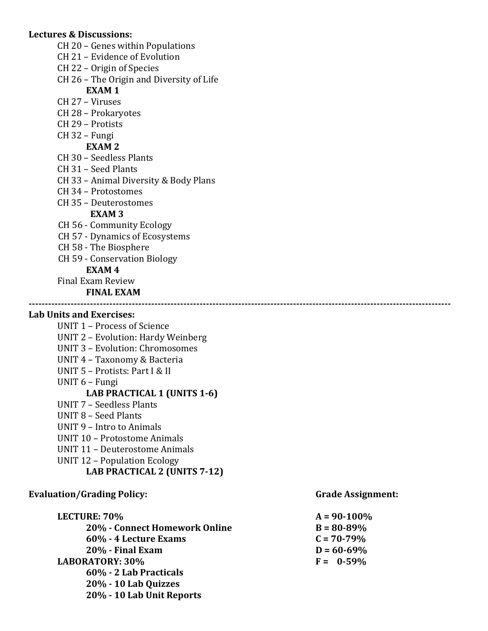### **Lectures & Discussions:**

- CH 20 Genes within Populations
- CH 21 Evidence of Evolution
- CH 22 Origin of Species
- CH 26 The Origin and Diversity of Life

### **EXAM 1**

- CH 27 Viruses
- CH 28 Prokaryotes
- CH 29 Protists
- CH 32 Fungi

### **EXAM 2**

- CH 30 Seedless Plants
- CH 31 Seed Plants
- CH 33 Animal Diversity & Body Plans
- CH 34 Protostomes
- CH 35 Deuterostomes

### **EXAM 3**

- CH 56 Community Ecology
- CH 57 Dynamics of Ecosystems
- CH 58 The Biosphere
- CH 59 Conservation Biology

### **EXAM 4**

Final Exam Review

### **FINAL EXAM**

### **Lab Units and Exercises:**

- UNIT 1 Process of Science
- UNIT 2 Evolution: Hardy Weinberg
- UNIT 3 Evolution: Chromosomes
- UNIT 4 Taxonomy & Bacteria
- UNIT 5 Protists: Part I & II
- UNIT 6 Fungi

### **LAB PRACTICAL 1 (UNITS 1-6)**

- UNIT 7 Seedless Plants
- UNIT 8 Seed Plants
- UNIT 9 Intro to Animals
- UNIT 10 Protostome Animals
- UNIT 11 Deuterostome Animals
- UNIT 12 Population Ecology

# **LAB PRACTICAL 2 (UNITS 7-12)**

### Evaluation/Grading Policy: Grade Assignment:

# **LECTURE: 70% A = 90-100% 20% - Connect Homework Online B = 80-89% 60% - 4 Lecture Exams C = 70-79% 20% - Final Exam D = 60-69% LABORATORY: 30% F = 0-59% 60% - 2 Lab Practicals 20% - 10 Lab Quizzes 20% - 10 Lab Unit Reports**

**-----------------------------------------------------------------------------------------------------------------------------------**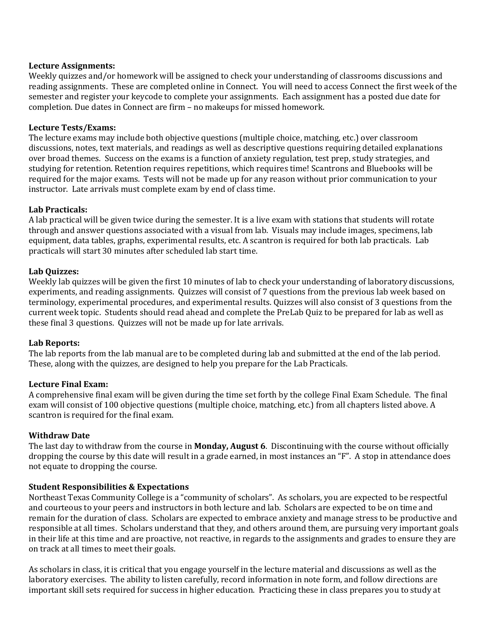### **Lecture Assignments:**

Weekly quizzes and/or homework will be assigned to check your understanding of classrooms discussions and reading assignments. These are completed online in Connect. You will need to access Connect the first week of the semester and register your keycode to complete your assignments. Each assignment has a posted due date for completion. Due dates in Connect are firm – no makeups for missed homework.

### **Lecture Tests/Exams:**

The lecture exams may include both objective questions (multiple choice, matching, etc.) over classroom discussions, notes, text materials, and readings as well as descriptive questions requiring detailed explanations over broad themes. Success on the exams is a function of anxiety regulation, test prep, study strategies, and studying for retention. Retention requires repetitions, which requires time! Scantrons and Bluebooks will be required for the major exams. Tests will not be made up for any reason without prior communication to your instructor. Late arrivals must complete exam by end of class time.

### **Lab Practicals:**

A lab practical will be given twice during the semester. It is a live exam with stations that students will rotate through and answer questions associated with a visual from lab. Visuals may include images, specimens, lab equipment, data tables, graphs, experimental results, etc. A scantron is required for both lab practicals. Lab practicals will start 30 minutes after scheduled lab start time.

### **Lab Quizzes:**

Weekly lab quizzes will be given the first 10 minutes of lab to check your understanding of laboratory discussions, experiments, and reading assignments. Quizzes will consist of 7 questions from the previous lab week based on terminology, experimental procedures, and experimental results. Quizzes will also consist of 3 questions from the current week topic. Students should read ahead and complete the PreLab Quiz to be prepared for lab as well as these final 3 questions. Quizzes will not be made up for late arrivals.

### **Lab Reports:**

The lab reports from the lab manual are to be completed during lab and submitted at the end of the lab period. These, along with the quizzes, are designed to help you prepare for the Lab Practicals.

### **Lecture Final Exam:**

A comprehensive final exam will be given during the time set forth by the college Final Exam Schedule. The final exam will consist of 100 objective questions (multiple choice, matching, etc.) from all chapters listed above. A scantron is required for the final exam.

### **Withdraw Date**

The last day to withdraw from the course in **Monday, August 6**. Discontinuing with the course without officially dropping the course by this date will result in a grade earned, in most instances an "F". A stop in attendance does not equate to dropping the course.

### **Student Responsibilities & Expectations**

Northeast Texas Community College is a "community of scholars". As scholars, you are expected to be respectful and courteous to your peers and instructors in both lecture and lab. Scholars are expected to be on time and remain for the duration of class. Scholars are expected to embrace anxiety and manage stress to be productive and responsible at all times. Scholars understand that they, and others around them, are pursuing very important goals in their life at this time and are proactive, not reactive, in regards to the assignments and grades to ensure they are on track at all times to meet their goals.

As scholars in class, it is critical that you engage yourself in the lecture material and discussions as well as the laboratory exercises. The ability to listen carefully, record information in note form, and follow directions are important skill sets required for success in higher education. Practicing these in class prepares you to study at